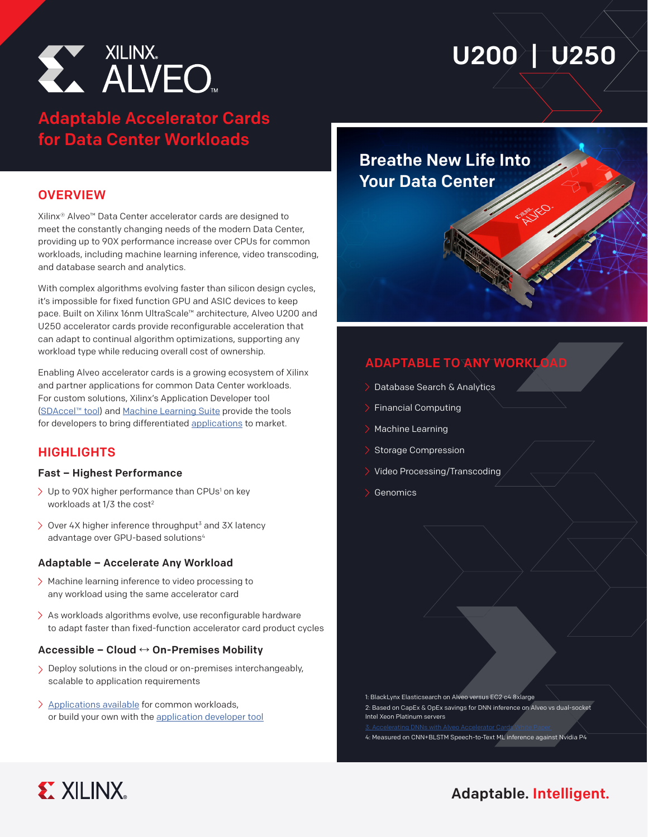

# U200 U250

## Adaptable Accelerator Cards for Data Center Workloads

#### **OVERVIEW**

Xilinx® Alveo™ Data Center accelerator cards are designed to meet the constantly changing needs of the modern Data Center, providing up to 90X performance increase over CPUs for common workloads, including machine learning inference, video transcoding, and database search and analytics.

With complex algorithms evolving faster than silicon design cycles, it's impossible for fixed function GPU and ASIC devices to keep pace. Built on Xilinx 16nm UltraScale™ architecture, Alveo U200 and U250 accelerator cards provide reconfigurable acceleration that can adapt to continual algorithm optimizations, supporting any workload type while reducing overall cost of ownership.

Enabling Alveo accelerator cards is a growing ecosystem of Xilinx and partner applications for common Data Center workloads. For custom solutions, Xilinx's Application Developer tool [\(SDAccel™](https://www.xilinx.com/products/design-tools/software-zone/sdaccel.html) tool) and [Machine Learning Suite](https://www.xilinx.com/applications/megatrends/machine-learning.html) provide the tools for developers to bring differentiated [applications](https://www.xilinx.com/products/boards-and-kits/alveo/applications.html) to market.

### **HIGHLIGHTS**

#### Fast – Highest Performance

- Up to 90X higher performance than CPUs<sup>1</sup> on key workloads at 1/3 the cost<sup>2</sup>
- $\geq$  Over 4X higher inference throughput<sup>3</sup> and 3X latency advantage over GPU-based solutions<sup>4</sup>

#### Adaptable – Accelerate Any Workload

- Machine learning inference to video processing to any workload using the same accelerator card
- $\geq$  As workloads algorithms evolve, use reconfigurable hardware to adapt faster than fixed-function accelerator card product cycles

#### Accessible – Cloud **↔** On-Premises Mobility

- > Deploy solutions in the cloud or on-premises interchangeably, scalable to application requirements
- [Applications available](https://www.xilinx.com/products/boards-and-kits/alveo/applications.html) for common workloads, or build your own with the [application developer tool](https://www.xilinx.com/products/design-tools/software-zone/sdaccel.html)

## Breathe New Life Into Your Data Center

## **ADAPTABLE TO ANY WORKLOAD**

- > Database Search & Analytics
- Financial Computing
- Machine Learning
- Storage Compression
- Video Processing/Transcoding
- Genomics

1: BlackLynx Elasticsearch on Alveo versus EC2 c4.8xlarge 2: Based on CapEx & OpEx savings for DNN inference on Alveo vs dual-socket Intel Xeon Platinum servers

4: Measured on CNN+BLSTM Speech-to-Text ML inference against Nvidia P4

[3: Accelerating DNNs with Alveo Accelerator Cards White Paper](https://www.xilinx.com/support/documentation/white_papers/wp504-accel-dnns.pdf) 



## Adaptable. Intelligent.